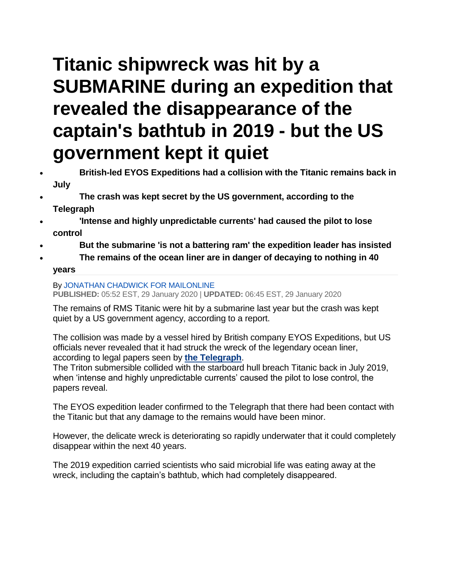## **Titanic shipwreck was hit by a SUBMARINE during an expedition that revealed the disappearance of the captain's bathtub in 2019 - but the US government kept it quiet**

- **British-led EYOS Expeditions had a collision with the Titanic remains back in July**
- **The crash was kept secret by the US government, according to the Telegraph**
- **'Intense and highly unpredictable currents' had caused the pilot to lose control**
- **But the submarine 'is not a battering ram' the expedition leader has insisted**
- **The remains of the ocean liner are in danger of decaying to nothing in 40 years**

## By [JONATHAN CHADWICK FOR MAILONLINE](https://www.dailymail.co.uk/home/search.html?s=&authornamef=Jonathan+Chadwick+For+Mailonline)

**PUBLISHED:** 05:52 EST, 29 January 2020 | **UPDATED:** 06:45 EST, 29 January 2020

The remains of RMS Titanic were hit by a submarine last year but the crash was kept quiet by a US government agency, according to a report.

The collision was made by a vessel hired by British company EYOS Expeditions, but US officials never revealed that it had struck the wreck of the legendary ocean liner, according to legal papers seen by **[the Telegraph](https://www.telegraph.co.uk/news/2020/01/28/exclusive-wreck-titanic-hit-submarine-us-government-kept-quiet/)**.

The Triton submersible collided with the starboard hull breach Titanic back in July 2019, when 'intense and highly unpredictable currents' caused the pilot to lose control, the papers reveal.

The EYOS expedition leader confirmed to the Telegraph that there had been contact with the Titanic but that any damage to the remains would have been minor.

However, the delicate wreck is deteriorating so rapidly underwater that it could completely disappear within the next 40 years.

The 2019 expedition carried scientists who said microbial life was eating away at the wreck, including the captain's bathtub, which had completely disappeared.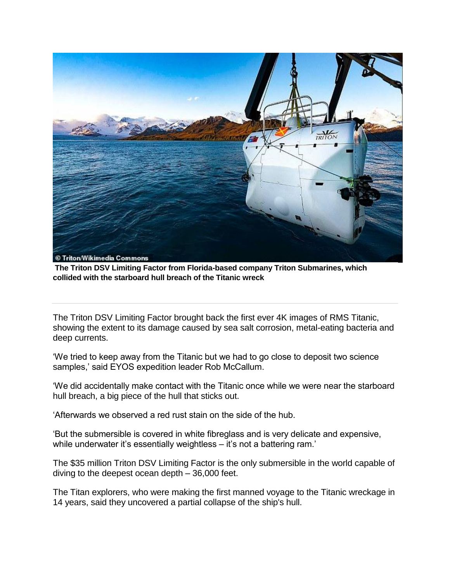

**The Triton DSV Limiting Factor from Florida-based company Triton Submarines, which collided with the starboard hull breach of the Titanic wreck**

The Triton DSV Limiting Factor brought back the first ever 4K images of RMS Titanic, showing the extent to its damage caused by sea salt corrosion, metal-eating bacteria and deep currents.

'We tried to keep away from the Titanic but we had to go close to deposit two science samples,' said EYOS expedition leader Rob McCallum.

'We did accidentally make contact with the Titanic once while we were near the starboard hull breach, a big piece of the hull that sticks out.

'Afterwards we observed a red rust stain on the side of the hub.

'But the submersible is covered in white fibreglass and is very delicate and expensive, while underwater it's essentially weightless – it's not a battering ram.'

The \$35 million Triton DSV Limiting Factor is the only submersible in the world capable of diving to the deepest ocean depth – 36,000 feet.

The Titan explorers, who were making the first manned voyage to the Titanic wreckage in 14 years, said they uncovered a partial collapse of the ship's hull.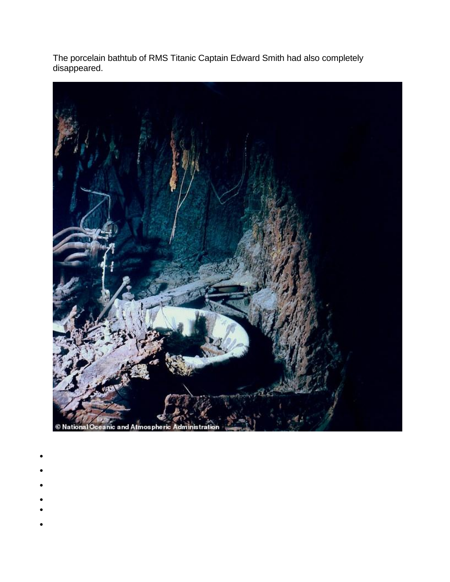The porcelain bathtub of RMS Titanic Captain Edward Smith had also completely disappeared.



- $\bullet$
- $\bullet$
- 
- $\bullet$
- 
- $\bullet$
- $\bullet$
- $\bullet$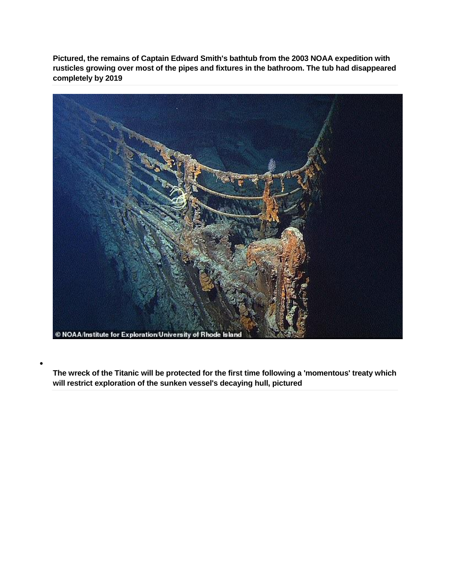**Pictured, the remains of Captain Edward Smith's bathtub from the 2003 NOAA expedition with rusticles growing over most of the pipes and fixtures in the bathroom. The tub had disappeared completely by 2019**



 $\bullet$ 

**The wreck of the Titanic will be protected for the first time following a 'momentous' treaty which will restrict exploration of the sunken vessel's decaying hull, pictured**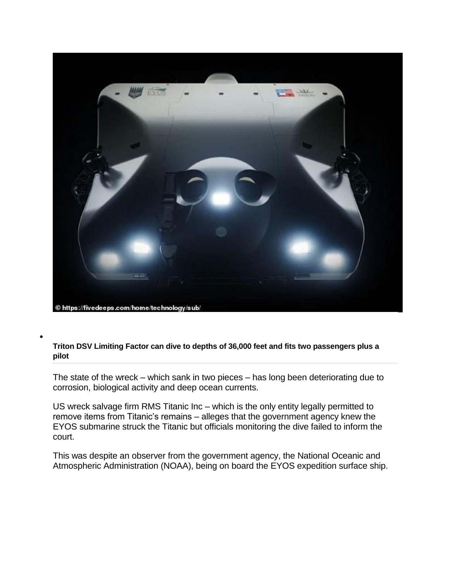

 $\bullet$ 

**Triton DSV Limiting Factor can dive to depths of 36,000 feet and fits two passengers plus a pilot**

The state of the wreck – which sank in two pieces – has long been deteriorating due to corrosion, biological activity and deep ocean currents.

US wreck salvage firm RMS Titanic Inc – which is the only entity legally permitted to remove items from Titanic's remains – alleges that the government agency knew the EYOS submarine struck the Titanic but officials monitoring the dive failed to inform the court.

This was despite an observer from the government agency, the National Oceanic and Atmospheric Administration (NOAA), being on board the EYOS expedition surface ship.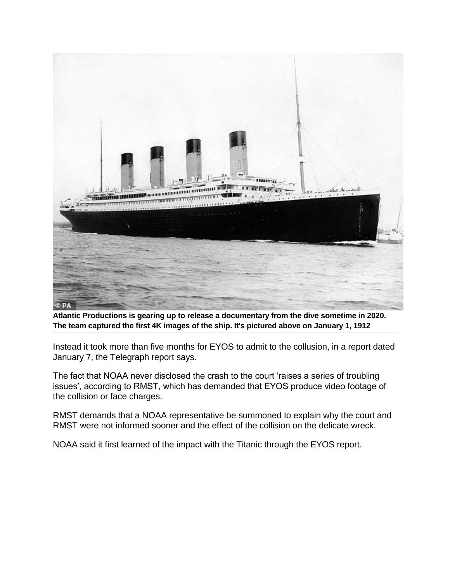

**Atlantic Productions is gearing up to release a documentary from the dive sometime in 2020. The team captured the first 4K images of the ship. It's pictured above on January 1, 1912**

Instead it took more than five months for EYOS to admit to the collusion, in a report dated January 7, the Telegraph report says.

The fact that NOAA never disclosed the crash to the court 'raises a series of troubling issues', according to RMST, which has demanded that EYOS produce video footage of the collision or face charges.

RMST demands that a NOAA representative be summoned to explain why the court and RMST were not informed sooner and the effect of the collision on the delicate wreck.

NOAA said it first learned of the impact with the Titanic through the EYOS report.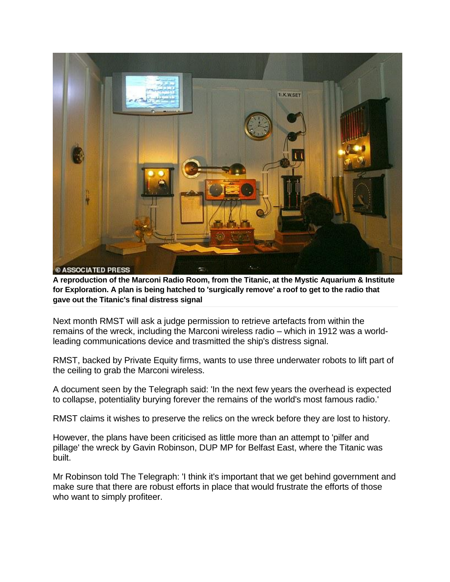

**A reproduction of the Marconi Radio Room, from the Titanic, at the Mystic Aquarium & Institute for Exploration. A plan is being hatched to 'surgically remove' a roof to get to the radio that gave out the Titanic's final distress signal**

Next month RMST will ask a judge permission to retrieve artefacts from within the remains of the wreck, including the Marconi wireless radio – which in 1912 was a worldleading communications device and trasmitted the ship's distress signal.

RMST, backed by Private Equity firms, wants to use three underwater robots to lift part of the ceiling to grab the Marconi wireless.

A document seen by the Telegraph said: 'In the next few years the overhead is expected to collapse, potentiality burying forever the remains of the world's most famous radio.'

RMST claims it wishes to preserve the relics on the wreck before they are lost to history.

However, the plans have been criticised as little more than an attempt to 'pilfer and pillage' the wreck by Gavin Robinson, DUP MP for Belfast East, where the Titanic was built.

Mr Robinson told The Telegraph: 'I think it's important that we get behind government and make sure that there are robust efforts in place that would frustrate the efforts of those who want to simply profiteer.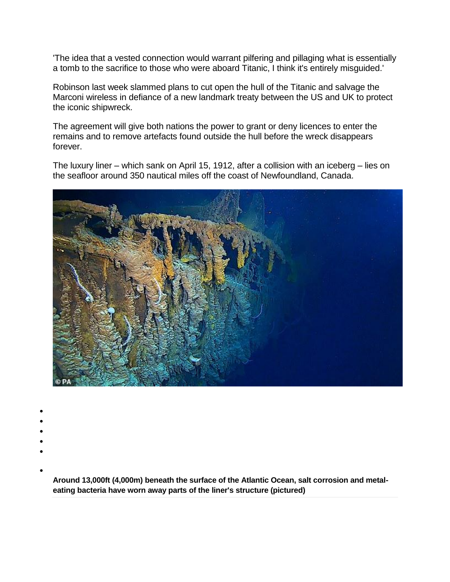'The idea that a vested connection would warrant pilfering and pillaging what is essentially a tomb to the sacrifice to those who were aboard Titanic, I think it's entirely misguided.'

Robinson last week slammed plans to cut open the hull of the Titanic and salvage the Marconi wireless in defiance of a new landmark treaty between the US and UK to protect the iconic shipwreck.

The agreement will give both nations the power to grant or deny licences to enter the remains and to remove artefacts found outside the hull before the wreck disappears forever.

The luxury liner – which sank on April 15, 1912, after a collision with an iceberg – lies on the seafloor around 350 nautical miles off the coast of Newfoundland, Canada.



- $\bullet$
- $\bullet$
- 
- $\bullet$  $\bullet$
- $\bullet$
- 

 $\bullet$ 

**Around 13,000ft (4,000m) beneath the surface of the Atlantic Ocean, salt corrosion and metaleating bacteria have worn away parts of the liner's structure (pictured)**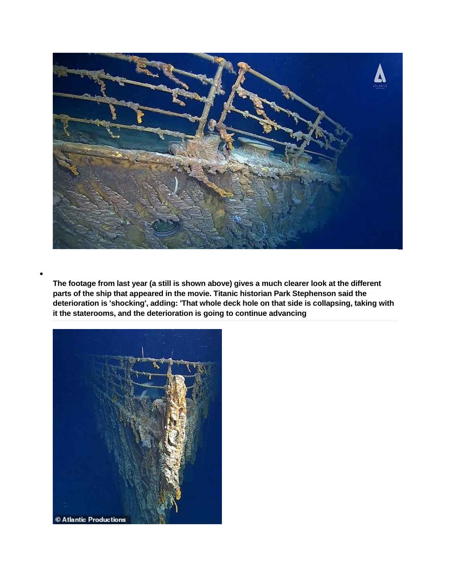

**The footage from last year (a still is shown above) gives a much clearer look at the different parts of the ship that appeared in the movie. Titanic historian Park Stephenson said the deterioration is 'shocking', adding: 'That whole deck hole on that side is collapsing, taking with it the staterooms, and the deterioration is going to continue advancing**



 $\bullet$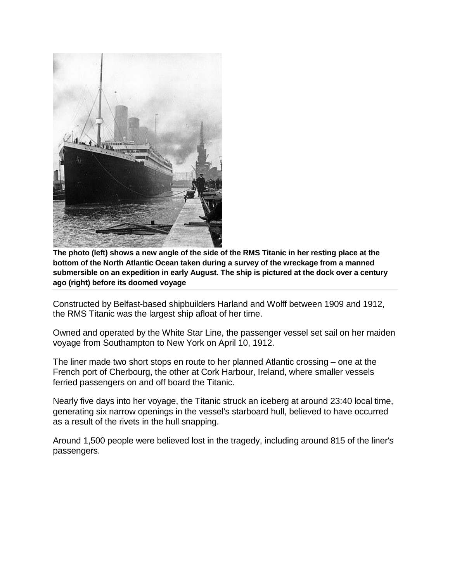

**The photo (left) shows a new angle of the side of the RMS Titanic in her resting place at the bottom of the North Atlantic Ocean taken during a survey of the wreckage from a manned submersible on an expedition in early August. The ship is pictured at the dock over a century ago (right) before its doomed voyage**

Constructed by Belfast-based shipbuilders Harland and Wolff between 1909 and 1912, the RMS Titanic was the largest ship afloat of her time.

Owned and operated by the White Star Line, the passenger vessel set sail on her maiden voyage from Southampton to New York on April 10, 1912.

The liner made two short stops en route to her planned Atlantic crossing – one at the French port of Cherbourg, the other at Cork Harbour, Ireland, where smaller vessels ferried passengers on and off board the Titanic.

Nearly five days into her voyage, the Titanic struck an iceberg at around 23:40 local time, generating six narrow openings in the vessel's starboard hull, believed to have occurred as a result of the rivets in the hull snapping.

Around 1,500 people were believed lost in the tragedy, including around 815 of the liner's passengers.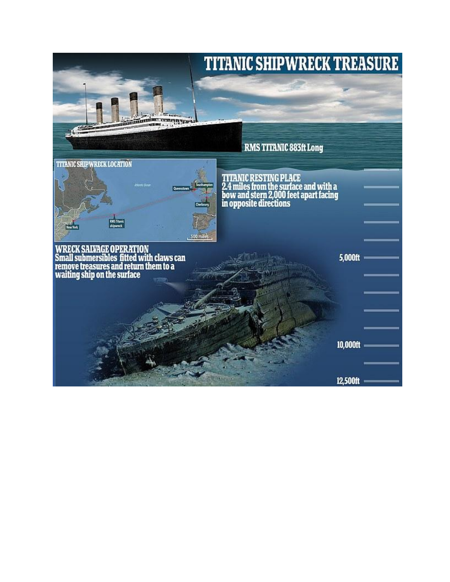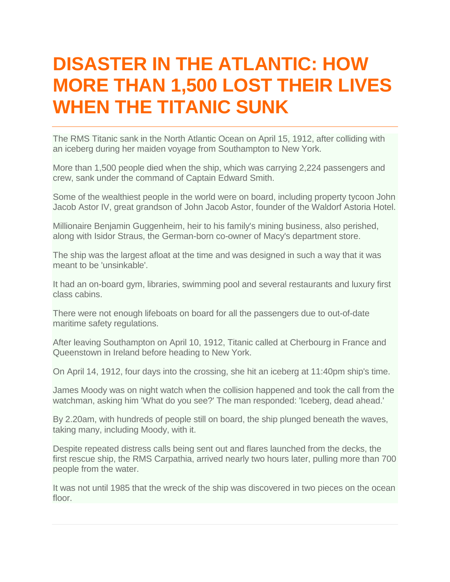## **DISASTER IN THE ATLANTIC: HOW MORE THAN 1,500 LOST THEIR LIVES WHEN THE TITANIC SUNK**

The RMS Titanic sank in the North Atlantic Ocean on April 15, 1912, after colliding with an iceberg during her maiden voyage from Southampton to New York.

More than 1,500 people died when the ship, which was carrying 2,224 passengers and crew, sank under the command of Captain Edward Smith.

Some of the wealthiest people in the world were on board, including property tycoon John Jacob Astor IV, great grandson of John Jacob Astor, founder of the Waldorf Astoria Hotel.

Millionaire Benjamin Guggenheim, heir to his family's mining business, also perished, along with Isidor Straus, the German-born co-owner of Macy's department store.

The ship was the largest afloat at the time and was designed in such a way that it was meant to be 'unsinkable'.

It had an on-board gym, libraries, swimming pool and several restaurants and luxury first class cabins.

There were not enough lifeboats on board for all the passengers due to out-of-date maritime safety regulations.

After leaving Southampton on April 10, 1912, Titanic called at Cherbourg in France and Queenstown in Ireland before heading to New York.

On April 14, 1912, four days into the crossing, she hit an iceberg at 11:40pm ship's time.

James Moody was on night watch when the collision happened and took the call from the watchman, asking him 'What do you see?' The man responded: 'Iceberg, dead ahead.'

By 2.20am, with hundreds of people still on board, the ship plunged beneath the waves, taking many, including Moody, with it.

Despite repeated distress calls being sent out and flares launched from the decks, the first rescue ship, the RMS Carpathia, arrived nearly two hours later, pulling more than 700 people from the water.

It was not until 1985 that the wreck of the ship was discovered in two pieces on the ocean floor.